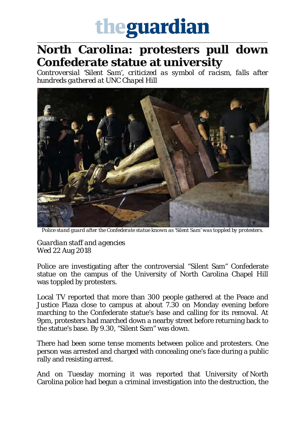## theguardian

\_\_\_\_\_\_\_\_\_\_\_\_\_\_\_\_\_\_\_\_\_\_\_\_\_\_\_\_\_\_\_\_\_\_\_\_\_\_\_\_\_\_\_\_\_\_\_\_\_\_\_\_\_\_\_\_\_\_\_\_\_\_\_\_\_\_\_\_\_\_\_\_\_\_\_\_\_\_\_\_\_\_\_\_\_\_\_\_\_\_\_\_\_\_\_\_\_\_\_\_\_\_\_\_\_\_\_\_\_\_\_\_\_

## **North Carolina: protesters pull down Confederate statue at university**

*Controversial 'Silent Sam', criticized as symbol of racism, falls after hundreds gathered at UNC Chapel Hill*



*Police stand guard after the Confederate statue known as 'Silent Sam' was toppled by protesters.*

*Guardian staff and agencies* Wed 22 Aug 2018

Police are investigating after the controversial "Silent Sam" Confederate statue on the campus of the University of North Carolina Chapel Hill was toppled by protesters.

Local TV reported that more than 300 people gathered at the Peace and Justice Plaza close to campus at about 7.30 on Monday evening before marching to the Confederate statue's base and calling for its removal. At 9pm, protesters had marched down a nearby street before returning back to the statue's base. By 9.30, "Silent Sam" was down.

There had been some tense moments between police and protesters. One person was arrested and charged with concealing one's face during a public rally and resisting arrest.

And on Tuesday morning it was reported that University of North Carolina police had begun a criminal investigation into the destruction, the